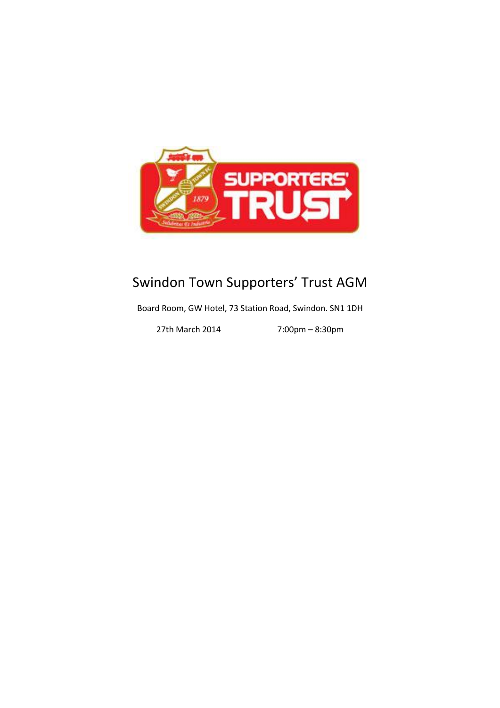

# Swindon Town Supporters' Trust AGM

Board Room, GW Hotel, 73 Station Road, Swindon. SN1 1DH

27th March 2014 7:00pm – 8:30pm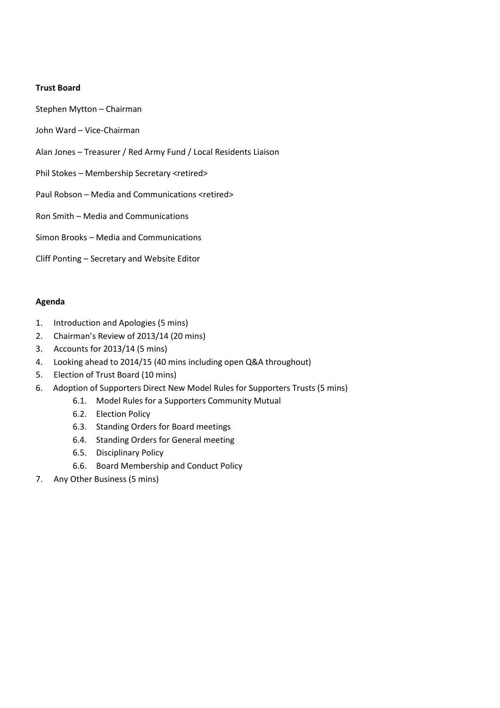# **Trust Board**

- Stephen Mytton Chairman
- John Ward Vice-Chairman
- Alan Jones Treasurer / Red Army Fund / Local Residents Liaison
- Phil Stokes Membership Secretary <retired>
- Paul Robson Media and Communications <retired>
- Ron Smith Media and Communications
- Simon Brooks Media and Communications
- Cliff Ponting Secretary and Website Editor

# **Agenda**

- 1. Introduction and Apologies (5 mins)
- 2. Chairman's Review of 2013/14 (20 mins)
- 3. Accounts for 2013/14 (5 mins)
- 4. Looking ahead to 2014/15 (40 mins including open Q&A throughout)
- 5. Election of Trust Board (10 mins)
- 6. Adoption of Supporters Direct New Model Rules for Supporters Trusts (5 mins)
	- 6.1. Model Rules for a Supporters Community Mutual
	- 6.2. Election Policy
	- 6.3. Standing Orders for Board meetings
	- 6.4. Standing Orders for General meeting
	- 6.5. Disciplinary Policy
	- 6.6. Board Membership and Conduct Policy
- 7. Any Other Business (5 mins)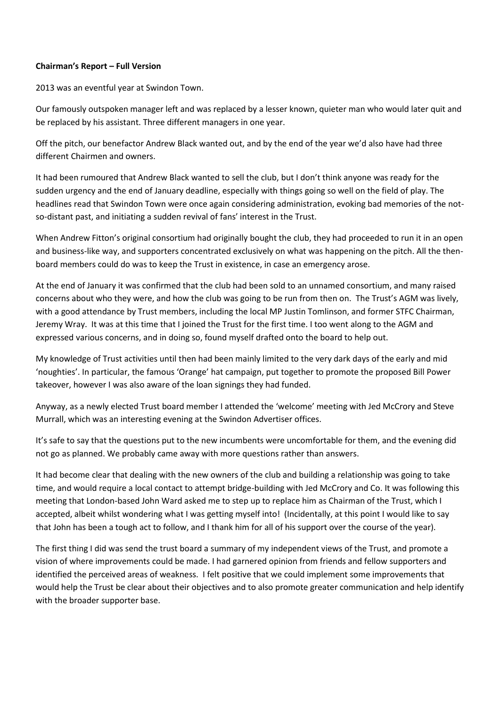# **Chairman's Report – Full Version**

2013 was an eventful year at Swindon Town.

Our famously outspoken manager left and was replaced by a lesser known, quieter man who would later quit and be replaced by his assistant. Three different managers in one year.

Off the pitch, our benefactor Andrew Black wanted out, and by the end of the year we'd also have had three different Chairmen and owners.

It had been rumoured that Andrew Black wanted to sell the club, but I don't think anyone was ready for the sudden urgency and the end of January deadline, especially with things going so well on the field of play. The headlines read that Swindon Town were once again considering administration, evoking bad memories of the notso-distant past, and initiating a sudden revival of fans' interest in the Trust.

When Andrew Fitton's original consortium had originally bought the club, they had proceeded to run it in an open and business-like way, and supporters concentrated exclusively on what was happening on the pitch. All the thenboard members could do was to keep the Trust in existence, in case an emergency arose.

At the end of January it was confirmed that the club had been sold to an unnamed consortium, and many raised concerns about who they were, and how the club was going to be run from then on. The Trust's AGM was lively, with a good attendance by Trust members, including the local MP Justin Tomlinson, and former STFC Chairman, Jeremy Wray. It was at this time that I joined the Trust for the first time. I too went along to the AGM and expressed various concerns, and in doing so, found myself drafted onto the board to help out.

My knowledge of Trust activities until then had been mainly limited to the very dark days of the early and mid 'noughties'. In particular, the famous 'Orange' hat campaign, put together to promote the proposed Bill Power takeover, however I was also aware of the loan signings they had funded.

Anyway, as a newly elected Trust board member I attended the 'welcome' meeting with Jed McCrory and Steve Murrall, which was an interesting evening at the Swindon Advertiser offices.

It's safe to say that the questions put to the new incumbents were uncomfortable for them, and the evening did not go as planned. We probably came away with more questions rather than answers.

It had become clear that dealing with the new owners of the club and building a relationship was going to take time, and would require a local contact to attempt bridge-building with Jed McCrory and Co. It was following this meeting that London-based John Ward asked me to step up to replace him as Chairman of the Trust, which I accepted, albeit whilst wondering what I was getting myself into! (Incidentally, at this point I would like to say that John has been a tough act to follow, and I thank him for all of his support over the course of the year).

The first thing I did was send the trust board a summary of my independent views of the Trust, and promote a vision of where improvements could be made. I had garnered opinion from friends and fellow supporters and identified the perceived areas of weakness. I felt positive that we could implement some improvements that would help the Trust be clear about their objectives and to also promote greater communication and help identify with the broader supporter base.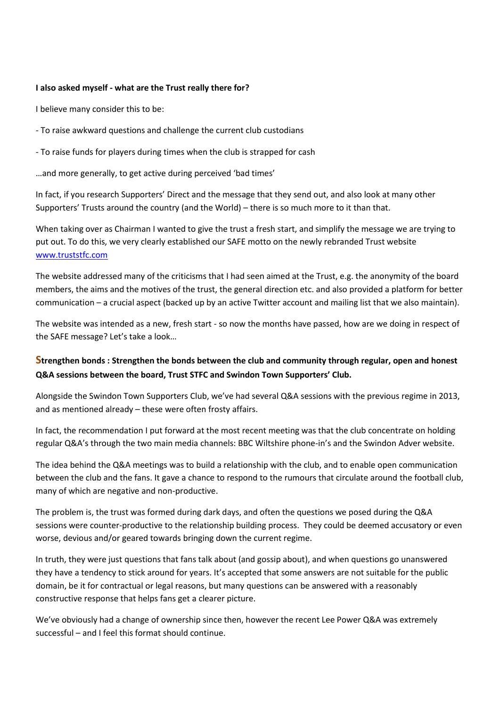## **I also asked myself - what are the Trust really there for?**

I believe many consider this to be:

- To raise awkward questions and challenge the current club custodians

- To raise funds for players during times when the club is strapped for cash

…and more generally, to get active during perceived 'bad times'

In fact, if you research Supporters' Direct and the message that they send out, and also look at many other Supporters' Trusts around the country (and the World) – there is so much more to it than that.

When taking over as Chairman I wanted to give the trust a fresh start, and simplify the message we are trying to put out. To do this, we very clearly established our SAFE motto on the newly rebranded Trust website [www.truststfc.com](http://www.truststfc.com/)

The website addressed many of the criticisms that I had seen aimed at the Trust, e.g. the anonymity of the board members, the aims and the motives of the trust, the general direction etc. and also provided a platform for better communication – a crucial aspect (backed up by an active Twitter account and mailing list that we also maintain).

The website was intended as a new, fresh start - so now the months have passed, how are we doing in respect of the SAFE message? Let's take a look…

# **Strengthen bonds : Strengthen the bonds between the club and community through regular, open and honest Q&A sessions between the board, Trust STFC and Swindon Town Supporters' Club.**

Alongside the Swindon Town Supporters Club, we've had several Q&A sessions with the previous regime in 2013, and as mentioned already – these were often frosty affairs.

In fact, the recommendation I put forward at the most recent meeting was that the club concentrate on holding regular Q&A's through the two main media channels: BBC Wiltshire phone-in's and the Swindon Adver website.

The idea behind the Q&A meetings was to build a relationship with the club, and to enable open communication between the club and the fans. It gave a chance to respond to the rumours that circulate around the football club, many of which are negative and non-productive.

The problem is, the trust was formed during dark days, and often the questions we posed during the Q&A sessions were counter-productive to the relationship building process. They could be deemed accusatory or even worse, devious and/or geared towards bringing down the current regime.

In truth, they were just questions that fans talk about (and gossip about), and when questions go unanswered they have a tendency to stick around for years. It's accepted that some answers are not suitable for the public domain, be it for contractual or legal reasons, but many questions can be answered with a reasonably constructive response that helps fans get a clearer picture.

We've obviously had a change of ownership since then, however the recent Lee Power Q&A was extremely successful – and I feel this format should continue.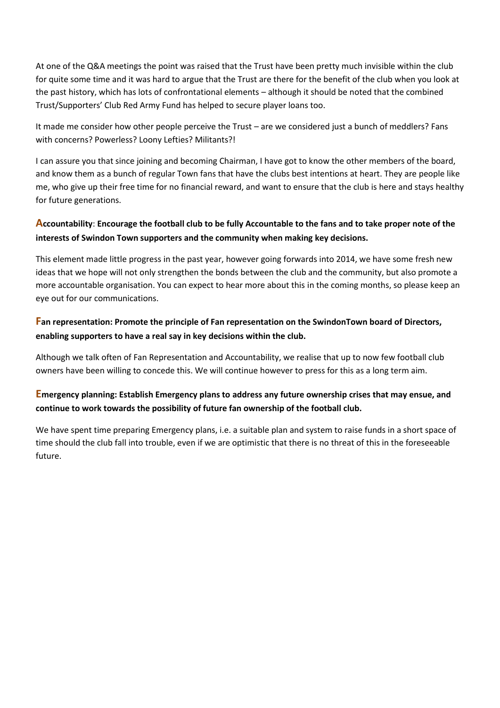At one of the Q&A meetings the point was raised that the Trust have been pretty much invisible within the club for quite some time and it was hard to argue that the Trust are there for the benefit of the club when you look at the past history, which has lots of confrontational elements – although it should be noted that the combined Trust/Supporters' Club Red Army Fund has helped to secure player loans too.

It made me consider how other people perceive the Trust – are we considered just a bunch of meddlers? Fans with concerns? Powerless? Loony Lefties? Militants?!

I can assure you that since joining and becoming Chairman, I have got to know the other members of the board, and know them as a bunch of regular Town fans that have the clubs best intentions at heart. They are people like me, who give up their free time for no financial reward, and want to ensure that the club is here and stays healthy for future generations.

# **Accountability**: **Encourage the football club to be fully Accountable to the fans and to take proper note of the interests of Swindon Town supporters and the community when making key decisions.**

This element made little progress in the past year, however going forwards into 2014, we have some fresh new ideas that we hope will not only strengthen the bonds between the club and the community, but also promote a more accountable organisation. You can expect to hear more about this in the coming months, so please keep an eye out for our communications.

# **Fan representation: Promote the principle of Fan representation on the SwindonTown board of Directors, enabling supporters to have a real say in key decisions within the club.**

Although we talk often of Fan Representation and Accountability, we realise that up to now few football club owners have been willing to concede this. We will continue however to press for this as a long term aim.

# **Emergency planning: Establish Emergency plans to address any future ownership crises that may ensue, and continue to work towards the possibility of future fan ownership of the football club.**

We have spent time preparing Emergency plans, i.e. a suitable plan and system to raise funds in a short space of time should the club fall into trouble, even if we are optimistic that there is no threat of this in the foreseeable future.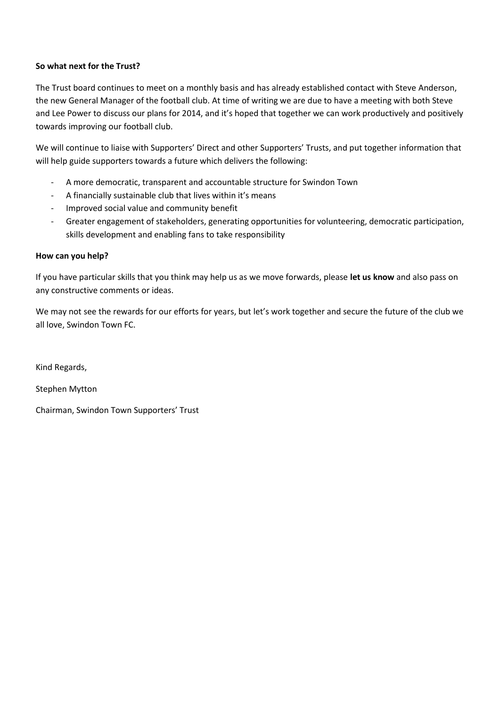# **So what next for the Trust?**

The Trust board continues to meet on a monthly basis and has already established contact with Steve Anderson, the new General Manager of the football club. At time of writing we are due to have a meeting with both Steve and Lee Power to discuss our plans for 2014, and it's hoped that together we can work productively and positively towards improving our football club.

We will continue to liaise with Supporters' Direct and other Supporters' Trusts, and put together information that will help guide supporters towards a future which delivers the following:

- A more democratic, transparent and accountable structure for Swindon Town
- A financially sustainable club that lives within it's means
- Improved social value and community benefit
- Greater engagement of stakeholders, generating opportunities for volunteering, democratic participation, skills development and enabling fans to take responsibility

# **How can you help?**

If you have particular skills that you think may help us as we move forwards, please **let us know** and also pass on any constructive comments or ideas.

We may not see the rewards for our efforts for years, but let's work together and secure the future of the club we all love, Swindon Town FC.

Kind Regards,

Stephen Mytton

Chairman, Swindon Town Supporters' Trust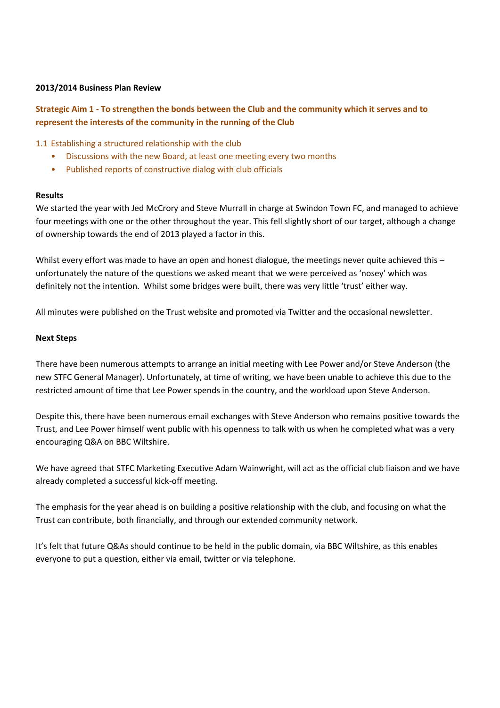## **2013/2014 Business Plan Review**

# **Strategic Aim 1 - To strengthen the bonds between the Club and the community which it serves and to represent the interests of the community in the running of the Club**

# 1.1 Establishing a structured relationship with the club

- Discussions with the new Board, at least one meeting every two months
- Published reports of constructive dialog with club officials

#### **Results**

We started the year with Jed McCrory and Steve Murrall in charge at Swindon Town FC, and managed to achieve four meetings with one or the other throughout the year. This fell slightly short of our target, although a change of ownership towards the end of 2013 played a factor in this.

Whilst every effort was made to have an open and honest dialogue, the meetings never quite achieved this unfortunately the nature of the questions we asked meant that we were perceived as 'nosey' which was definitely not the intention. Whilst some bridges were built, there was very little 'trust' either way.

All minutes were published on the Trust website and promoted via Twitter and the occasional newsletter.

#### **Next Steps**

There have been numerous attempts to arrange an initial meeting with Lee Power and/or Steve Anderson (the new STFC General Manager). Unfortunately, at time of writing, we have been unable to achieve this due to the restricted amount of time that Lee Power spends in the country, and the workload upon Steve Anderson.

Despite this, there have been numerous email exchanges with Steve Anderson who remains positive towards the Trust, and Lee Power himself went public with his openness to talk with us when he completed what was a very encouraging Q&A on BBC Wiltshire.

We have agreed that STFC Marketing Executive Adam Wainwright, will act as the official club liaison and we have already completed a successful kick-off meeting.

The emphasis for the year ahead is on building a positive relationship with the club, and focusing on what the Trust can contribute, both financially, and through our extended community network.

It's felt that future Q&As should continue to be held in the public domain, via BBC Wiltshire, as this enables everyone to put a question, either via email, twitter or via telephone.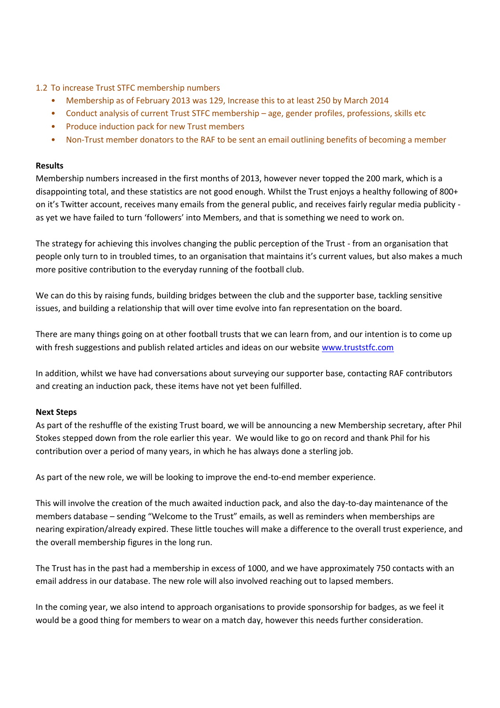- 1.2 To increase Trust STFC membership numbers
	- Membership as of February 2013 was 129, Increase this to at least 250 by March 2014
	- Conduct analysis of current Trust STFC membership age, gender profiles, professions, skills etc
	- Produce induction pack for new Trust members
	- Non-Trust member donators to the RAF to be sent an email outlining benefits of becoming a member

# **Results**

Membership numbers increased in the first months of 2013, however never topped the 200 mark, which is a disappointing total, and these statistics are not good enough. Whilst the Trust enjoys a healthy following of 800+ on it's Twitter account, receives many emails from the general public, and receives fairly regular media publicity as yet we have failed to turn 'followers' into Members, and that is something we need to work on.

The strategy for achieving this involves changing the public perception of the Trust - from an organisation that people only turn to in troubled times, to an organisation that maintains it's current values, but also makes a much more positive contribution to the everyday running of the football club.

We can do this by raising funds, building bridges between the club and the supporter base, tackling sensitive issues, and building a relationship that will over time evolve into fan representation on the board.

There are many things going on at other football trusts that we can learn from, and our intention is to come up with fresh suggestions and publish related articles and ideas on our website [www.truststfc.com](http://www.truststfc.com/) 

In addition, whilst we have had conversations about surveying our supporter base, contacting RAF contributors and creating an induction pack, these items have not yet been fulfilled.

# **Next Steps**

As part of the reshuffle of the existing Trust board, we will be announcing a new Membership secretary, after Phil Stokes stepped down from the role earlier this year. We would like to go on record and thank Phil for his contribution over a period of many years, in which he has always done a sterling job.

As part of the new role, we will be looking to improve the end-to-end member experience.

This will involve the creation of the much awaited induction pack, and also the day-to-day maintenance of the members database – sending "Welcome to the Trust" emails, as well as reminders when memberships are nearing expiration/already expired. These little touches will make a difference to the overall trust experience, and the overall membership figures in the long run.

The Trust has in the past had a membership in excess of 1000, and we have approximately 750 contacts with an email address in our database. The new role will also involved reaching out to lapsed members.

In the coming year, we also intend to approach organisations to provide sponsorship for badges, as we feel it would be a good thing for members to wear on a match day, however this needs further consideration.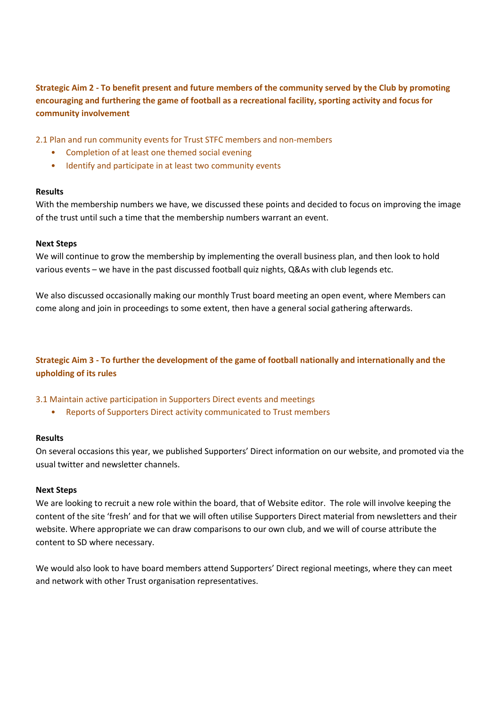**Strategic Aim 2 - To benefit present and future members of the community served by the Club by promoting encouraging and furthering the game of football as a recreational facility, sporting activity and focus for community involvement**

2.1 Plan and run community events for Trust STFC members and non-members

- Completion of at least one themed social evening
- Identify and participate in at least two community events

#### **Results**

With the membership numbers we have, we discussed these points and decided to focus on improving the image of the trust until such a time that the membership numbers warrant an event.

#### **Next Steps**

We will continue to grow the membership by implementing the overall business plan, and then look to hold various events – we have in the past discussed football quiz nights, Q&As with club legends etc.

We also discussed occasionally making our monthly Trust board meeting an open event, where Members can come along and join in proceedings to some extent, then have a general social gathering afterwards.

# **Strategic Aim 3 - To further the development of the game of football nationally and internationally and the upholding of its rules**

#### 3.1 Maintain active participation in Supporters Direct events and meetings

• Reports of Supporters Direct activity communicated to Trust members

#### **Results**

On several occasions this year, we published Supporters' Direct information on our website, and promoted via the usual twitter and newsletter channels.

#### **Next Steps**

We are looking to recruit a new role within the board, that of Website editor. The role will involve keeping the content of the site 'fresh' and for that we will often utilise Supporters Direct material from newsletters and their website. Where appropriate we can draw comparisons to our own club, and we will of course attribute the content to SD where necessary.

We would also look to have board members attend Supporters' Direct regional meetings, where they can meet and network with other Trust organisation representatives.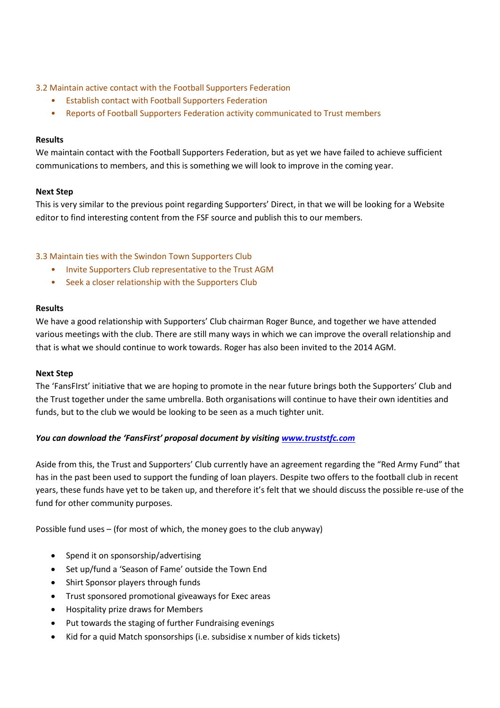# 3.2 Maintain active contact with the Football Supporters Federation

- Establish contact with Football Supporters Federation
- Reports of Football Supporters Federation activity communicated to Trust members

# **Results**

We maintain contact with the Football Supporters Federation, but as yet we have failed to achieve sufficient communications to members, and this is something we will look to improve in the coming year.

# **Next Step**

This is very similar to the previous point regarding Supporters' Direct, in that we will be looking for a Website editor to find interesting content from the FSF source and publish this to our members.

# 3.3 Maintain ties with the Swindon Town Supporters Club

- Invite Supporters Club representative to the Trust AGM
- Seek a closer relationship with the Supporters Club

# **Results**

We have a good relationship with Supporters' Club chairman Roger Bunce, and together we have attended various meetings with the club. There are still many ways in which we can improve the overall relationship and that is what we should continue to work towards. Roger has also been invited to the 2014 AGM.

#### **Next Step**

The 'FansFIrst' initiative that we are hoping to promote in the near future brings both the Supporters' Club and the Trust together under the same umbrella. Both organisations will continue to have their own identities and funds, but to the club we would be looking to be seen as a much tighter unit.

# *You can download the 'FansFirst' proposal document by visiting [www.truststfc.com](http://www.truststfc.com/)*

Aside from this, the Trust and Supporters' Club currently have an agreement regarding the "Red Army Fund" that has in the past been used to support the funding of loan players. Despite two offers to the football club in recent years, these funds have yet to be taken up, and therefore it's felt that we should discuss the possible re-use of the fund for other community purposes.

Possible fund uses – (for most of which, the money goes to the club anyway)

- Spend it on sponsorship/advertising
- Set up/fund a 'Season of Fame' outside the Town End
- Shirt Sponsor players through funds
- Trust sponsored promotional giveaways for Exec areas
- Hospitality prize draws for Members
- Put towards the staging of further Fundraising evenings
- Kid for a quid Match sponsorships (i.e. subsidise x number of kids tickets)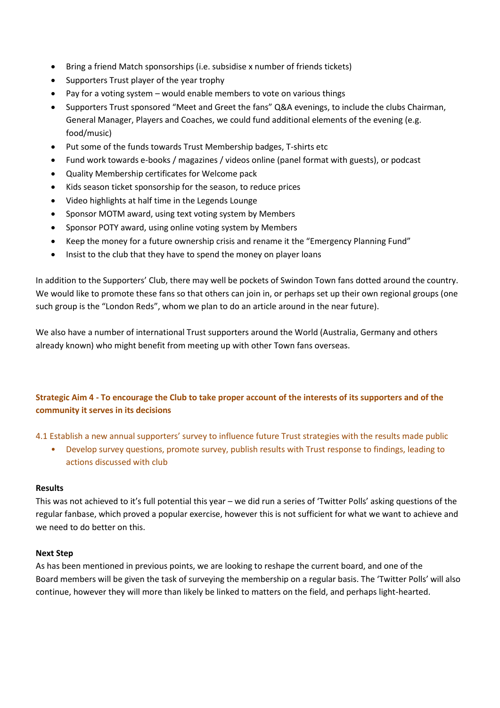- Bring a friend Match sponsorships (i.e. subsidise x number of friends tickets)
- Supporters Trust player of the year trophy
- Pay for a voting system would enable members to vote on various things
- Supporters Trust sponsored "Meet and Greet the fans" Q&A evenings, to include the clubs Chairman, General Manager, Players and Coaches, we could fund additional elements of the evening (e.g. food/music)
- Put some of the funds towards Trust Membership badges, T-shirts etc
- Fund work towards e-books / magazines / videos online (panel format with guests), or podcast
- Quality Membership certificates for Welcome pack
- Kids season ticket sponsorship for the season, to reduce prices
- Video highlights at half time in the Legends Lounge
- Sponsor MOTM award, using text voting system by Members
- Sponsor POTY award, using online voting system by Members
- Keep the money for a future ownership crisis and rename it the "Emergency Planning Fund"
- Insist to the club that they have to spend the money on player loans

In addition to the Supporters' Club, there may well be pockets of Swindon Town fans dotted around the country. We would like to promote these fans so that others can join in, or perhaps set up their own regional groups (one such group is the "London Reds", whom we plan to do an article around in the near future).

We also have a number of international Trust supporters around the World (Australia, Germany and others already known) who might benefit from meeting up with other Town fans overseas.

# **Strategic Aim 4 - To encourage the Club to take proper account of the interests of its supporters and of the community it serves in its decisions**

4.1 Establish a new annual supporters' survey to influence future Trust strategies with the results made public

• Develop survey questions, promote survey, publish results with Trust response to findings, leading to actions discussed with club

#### **Results**

This was not achieved to it's full potential this year – we did run a series of 'Twitter Polls' asking questions of the regular fanbase, which proved a popular exercise, however this is not sufficient for what we want to achieve and we need to do better on this.

# **Next Step**

As has been mentioned in previous points, we are looking to reshape the current board, and one of the Board members will be given the task of surveying the membership on a regular basis. The 'Twitter Polls' will also continue, however they will more than likely be linked to matters on the field, and perhaps light-hearted.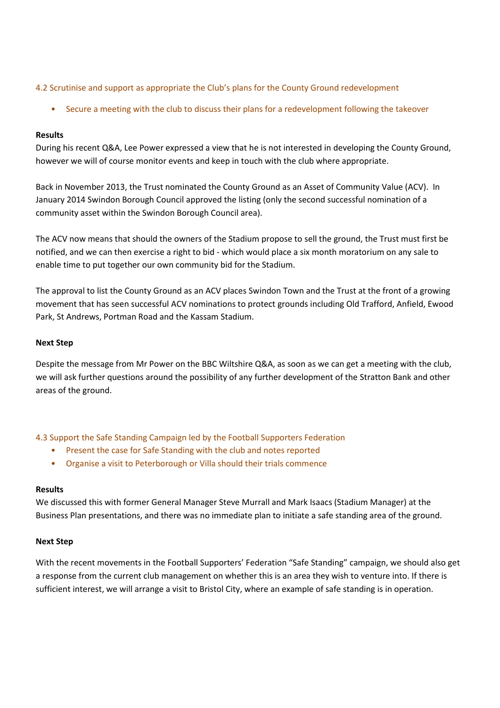# 4.2 Scrutinise and support as appropriate the Club's plans for the County Ground redevelopment

• Secure a meeting with the club to discuss their plans for a redevelopment following the takeover

#### **Results**

During his recent Q&A, Lee Power expressed a view that he is not interested in developing the County Ground, however we will of course monitor events and keep in touch with the club where appropriate.

Back in November 2013, the Trust nominated the County Ground as an Asset of Community Value (ACV). In January 2014 Swindon Borough Council approved the listing (only the second successful nomination of a community asset within the Swindon Borough Council area).

The ACV now means that should the owners of the Stadium propose to sell the ground, the Trust must first be notified, and we can then exercise a right to bid - which would place a six month moratorium on any sale to enable time to put together our own community bid for the Stadium.

The approval to list the County Ground as an ACV places Swindon Town and the Trust at the front of a growing movement that has seen successful ACV nominations to protect grounds including Old Trafford, Anfield, Ewood Park, St Andrews, Portman Road and the Kassam Stadium.

#### **Next Step**

Despite the message from Mr Power on the BBC Wiltshire Q&A, as soon as we can get a meeting with the club, we will ask further questions around the possibility of any further development of the Stratton Bank and other areas of the ground.

4.3 Support the Safe Standing Campaign led by the Football Supporters Federation

- Present the case for Safe Standing with the club and notes reported
- Organise a visit to Peterborough or Villa should their trials commence

#### **Results**

We discussed this with former General Manager Steve Murrall and Mark Isaacs (Stadium Manager) at the Business Plan presentations, and there was no immediate plan to initiate a safe standing area of the ground.

#### **Next Step**

With the recent movements in the Football Supporters' Federation "Safe Standing" campaign, we should also get a response from the current club management on whether this is an area they wish to venture into. If there is sufficient interest, we will arrange a visit to Bristol City, where an example of safe standing is in operation.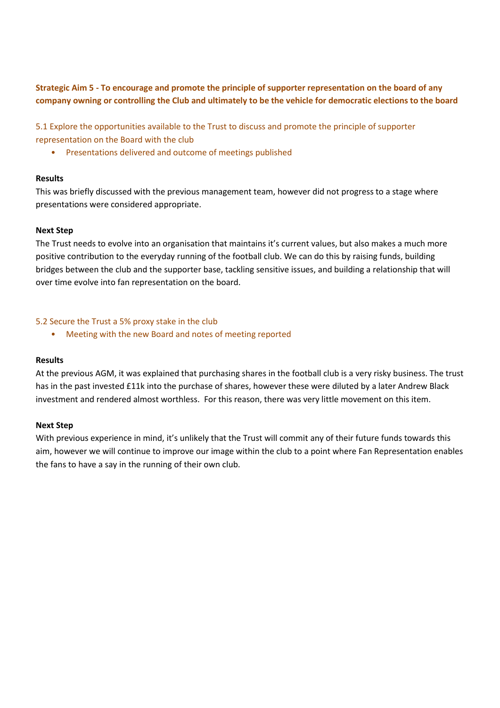**Strategic Aim 5 - To encourage and promote the principle of supporter representation on the board of any company owning or controlling the Club and ultimately to be the vehicle for democratic elections to the board**

5.1 Explore the opportunities available to the Trust to discuss and promote the principle of supporter representation on the Board with the club

• Presentations delivered and outcome of meetings published

#### **Results**

This was briefly discussed with the previous management team, however did not progress to a stage where presentations were considered appropriate.

# **Next Step**

The Trust needs to evolve into an organisation that maintains it's current values, but also makes a much more positive contribution to the everyday running of the football club. We can do this by raising funds, building bridges between the club and the supporter base, tackling sensitive issues, and building a relationship that will over time evolve into fan representation on the board.

# 5.2 Secure the Trust a 5% proxy stake in the club

• Meeting with the new Board and notes of meeting reported

#### **Results**

At the previous AGM, it was explained that purchasing shares in the football club is a very risky business. The trust has in the past invested £11k into the purchase of shares, however these were diluted by a later Andrew Black investment and rendered almost worthless. For this reason, there was very little movement on this item.

## **Next Step**

With previous experience in mind, it's unlikely that the Trust will commit any of their future funds towards this aim, however we will continue to improve our image within the club to a point where Fan Representation enables the fans to have a say in the running of their own club.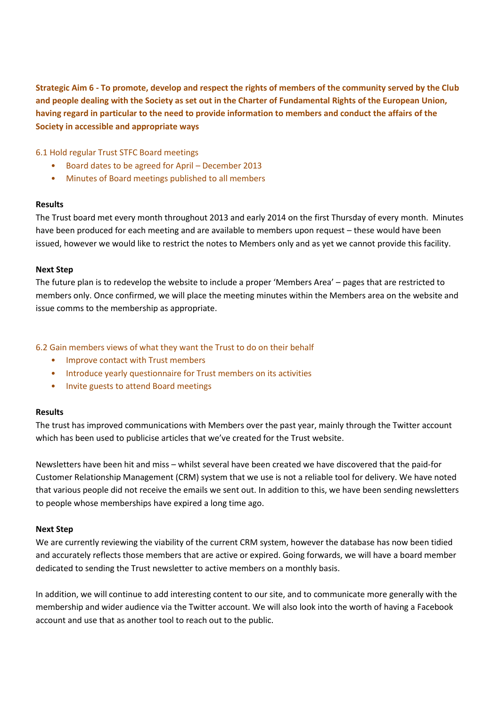**Strategic Aim 6 - To promote, develop and respect the rights of members of the community served by the Club and people dealing with the Society as set out in the Charter of Fundamental Rights of the European Union, having regard in particular to the need to provide information to members and conduct the affairs of the Society in accessible and appropriate ways**

6.1 Hold regular Trust STFC Board meetings

- Board dates to be agreed for April December 2013
- Minutes of Board meetings published to all members

#### **Results**

The Trust board met every month throughout 2013 and early 2014 on the first Thursday of every month. Minutes have been produced for each meeting and are available to members upon request – these would have been issued, however we would like to restrict the notes to Members only and as yet we cannot provide this facility.

#### **Next Step**

The future plan is to redevelop the website to include a proper 'Members Area' – pages that are restricted to members only. Once confirmed, we will place the meeting minutes within the Members area on the website and issue comms to the membership as appropriate.

#### 6.2 Gain members views of what they want the Trust to do on their behalf

- Improve contact with Trust members
- Introduce yearly questionnaire for Trust members on its activities
- Invite guests to attend Board meetings

#### **Results**

The trust has improved communications with Members over the past year, mainly through the Twitter account which has been used to publicise articles that we've created for the Trust website.

Newsletters have been hit and miss – whilst several have been created we have discovered that the paid-for Customer Relationship Management (CRM) system that we use is not a reliable tool for delivery. We have noted that various people did not receive the emails we sent out. In addition to this, we have been sending newsletters to people whose memberships have expired a long time ago.

#### **Next Step**

We are currently reviewing the viability of the current CRM system, however the database has now been tidied and accurately reflects those members that are active or expired. Going forwards, we will have a board member dedicated to sending the Trust newsletter to active members on a monthly basis.

In addition, we will continue to add interesting content to our site, and to communicate more generally with the membership and wider audience via the Twitter account. We will also look into the worth of having a Facebook account and use that as another tool to reach out to the public.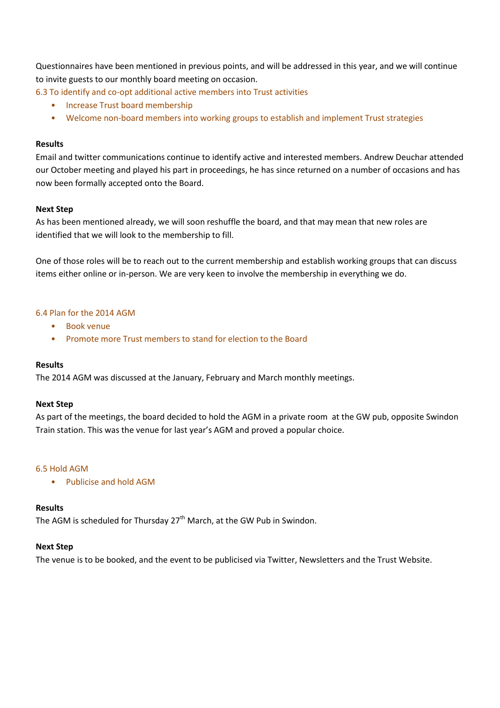Questionnaires have been mentioned in previous points, and will be addressed in this year, and we will continue to invite guests to our monthly board meeting on occasion.

6.3 To identify and co-opt additional active members into Trust activities

- Increase Trust board membership
- Welcome non-board members into working groups to establish and implement Trust strategies

#### **Results**

Email and twitter communications continue to identify active and interested members. Andrew Deuchar attended our October meeting and played his part in proceedings, he has since returned on a number of occasions and has now been formally accepted onto the Board.

#### **Next Step**

As has been mentioned already, we will soon reshuffle the board, and that may mean that new roles are identified that we will look to the membership to fill.

One of those roles will be to reach out to the current membership and establish working groups that can discuss items either online or in-person. We are very keen to involve the membership in everything we do.

#### 6.4 Plan for the 2014 AGM

- Book venue
- Promote more Trust members to stand for election to the Board

#### **Results**

The 2014 AGM was discussed at the January, February and March monthly meetings.

#### **Next Step**

As part of the meetings, the board decided to hold the AGM in a private room at the GW pub, opposite Swindon Train station. This was the venue for last year's AGM and proved a popular choice.

#### 6.5 Hold AGM

• Publicise and hold AGM

#### **Results**

The AGM is scheduled for Thursday 27<sup>th</sup> March, at the GW Pub in Swindon.

#### **Next Step**

The venue is to be booked, and the event to be publicised via Twitter, Newsletters and the Trust Website.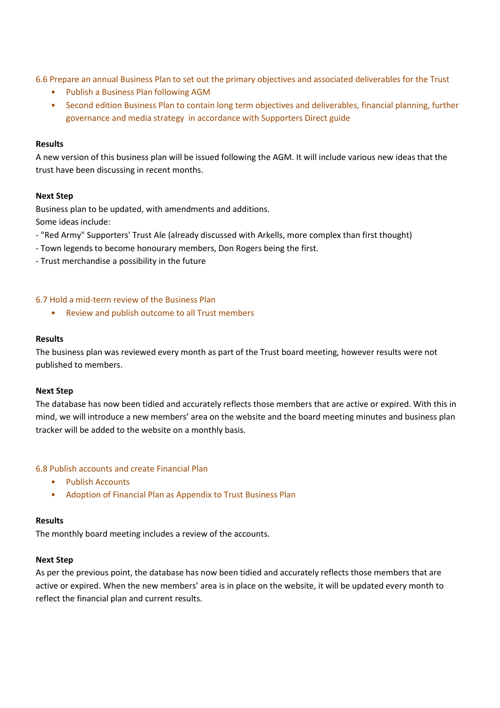6.6 Prepare an annual Business Plan to set out the primary objectives and associated deliverables for the Trust

- Publish a Business Plan following AGM
- Second edition Business Plan to contain long term objectives and deliverables, financial planning, further governance and media strategy in accordance with Supporters Direct guide

#### **Results**

A new version of this business plan will be issued following the AGM. It will include various new ideas that the trust have been discussing in recent months.

#### **Next Step**

Business plan to be updated, with amendments and additions.

Some ideas include:

- "Red Army" Supporters' Trust Ale (already discussed with Arkells, more complex than first thought)
- Town legends to become honourary members, Don Rogers being the first.
- Trust merchandise a possibility in the future

#### 6.7 Hold a mid-term review of the Business Plan

• Review and publish outcome to all Trust members

#### **Results**

The business plan was reviewed every month as part of the Trust board meeting, however results were not published to members.

#### **Next Step**

The database has now been tidied and accurately reflects those members that are active or expired. With this in mind, we will introduce a new members' area on the website and the board meeting minutes and business plan tracker will be added to the website on a monthly basis.

#### 6.8 Publish accounts and create Financial Plan

- Publish Accounts
- Adoption of Financial Plan as Appendix to Trust Business Plan

#### **Results**

The monthly board meeting includes a review of the accounts.

#### **Next Step**

As per the previous point, the database has now been tidied and accurately reflects those members that are active or expired. When the new members' area is in place on the website, it will be updated every month to reflect the financial plan and current results.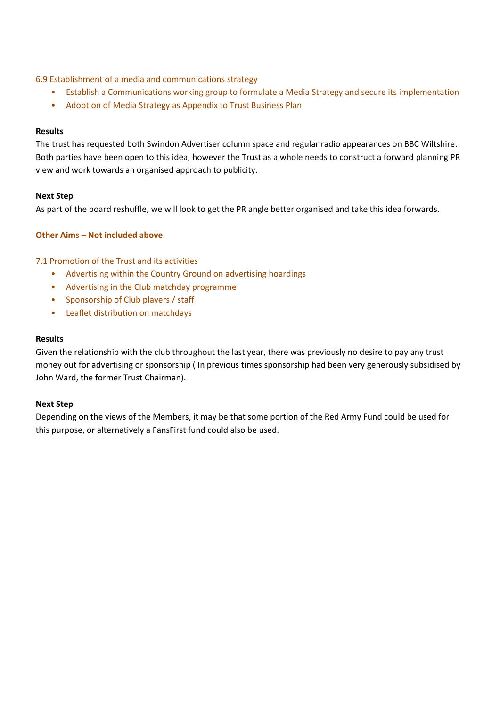# 6.9 Establishment of a media and communications strategy

- Establish a Communications working group to formulate a Media Strategy and secure its implementation
- Adoption of Media Strategy as Appendix to Trust Business Plan

## **Results**

The trust has requested both Swindon Advertiser column space and regular radio appearances on BBC Wiltshire. Both parties have been open to this idea, however the Trust as a whole needs to construct a forward planning PR view and work towards an organised approach to publicity.

# **Next Step**

As part of the board reshuffle, we will look to get the PR angle better organised and take this idea forwards.

# **Other Aims – Not included above**

# 7.1 Promotion of the Trust and its activities

- Advertising within the Country Ground on advertising hoardings
- Advertising in the Club matchday programme
- Sponsorship of Club players / staff
- Leaflet distribution on matchdays

#### **Results**

Given the relationship with the club throughout the last year, there was previously no desire to pay any trust money out for advertising or sponsorship ( In previous times sponsorship had been very generously subsidised by John Ward, the former Trust Chairman).

#### **Next Step**

Depending on the views of the Members, it may be that some portion of the Red Army Fund could be used for this purpose, or alternatively a FansFirst fund could also be used.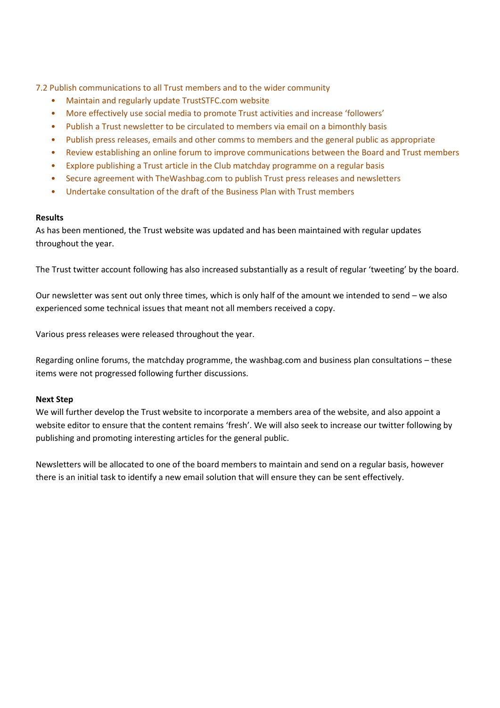7.2 Publish communications to all Trust members and to the wider community

- Maintain and regularly update TrustSTFC.com website
- More effectively use social media to promote Trust activities and increase 'followers'
- Publish a Trust newsletter to be circulated to members via email on a bimonthly basis
- Publish press releases, emails and other comms to members and the general public as appropriate
- Review establishing an online forum to improve communications between the Board and Trust members
- Explore publishing a Trust article in the Club matchday programme on a regular basis
- Secure agreement with TheWashbag.com to publish Trust press releases and newsletters
- Undertake consultation of the draft of the Business Plan with Trust members

# **Results**

As has been mentioned, the Trust website was updated and has been maintained with regular updates throughout the year.

The Trust twitter account following has also increased substantially as a result of regular 'tweeting' by the board.

Our newsletter was sent out only three times, which is only half of the amount we intended to send – we also experienced some technical issues that meant not all members received a copy.

Various press releases were released throughout the year.

Regarding online forums, the matchday programme, the washbag.com and business plan consultations – these items were not progressed following further discussions.

#### **Next Step**

We will further develop the Trust website to incorporate a members area of the website, and also appoint a website editor to ensure that the content remains 'fresh'. We will also seek to increase our twitter following by publishing and promoting interesting articles for the general public.

Newsletters will be allocated to one of the board members to maintain and send on a regular basis, however there is an initial task to identify a new email solution that will ensure they can be sent effectively.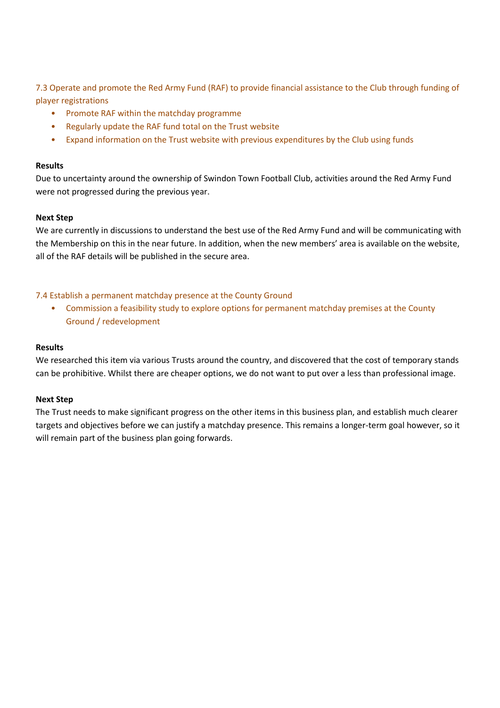7.3 Operate and promote the Red Army Fund (RAF) to provide financial assistance to the Club through funding of player registrations

- Promote RAF within the matchday programme
- Regularly update the RAF fund total on the Trust website
- Expand information on the Trust website with previous expenditures by the Club using funds

## **Results**

Due to uncertainty around the ownership of Swindon Town Football Club, activities around the Red Army Fund were not progressed during the previous year.

# **Next Step**

We are currently in discussions to understand the best use of the Red Army Fund and will be communicating with the Membership on this in the near future. In addition, when the new members' area is available on the website, all of the RAF details will be published in the secure area.

# 7.4 Establish a permanent matchday presence at the County Ground

• Commission a feasibility study to explore options for permanent matchday premises at the County Ground / redevelopment

# **Results**

We researched this item via various Trusts around the country, and discovered that the cost of temporary stands can be prohibitive. Whilst there are cheaper options, we do not want to put over a less than professional image.

#### **Next Step**

The Trust needs to make significant progress on the other items in this business plan, and establish much clearer targets and objectives before we can justify a matchday presence. This remains a longer-term goal however, so it will remain part of the business plan going forwards.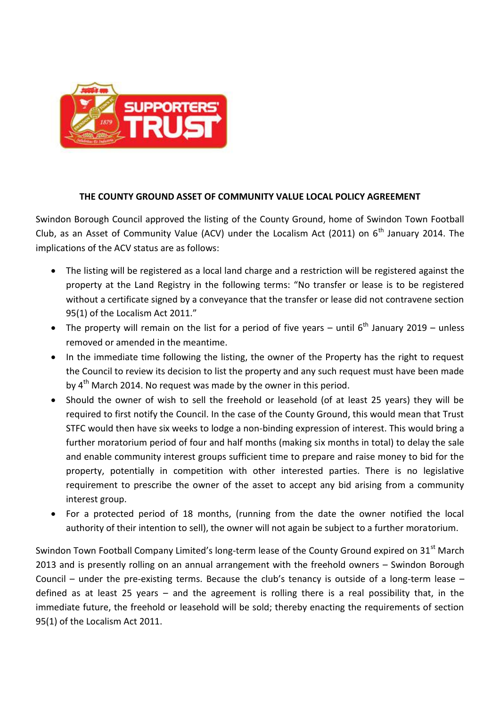

# **THE COUNTY GROUND ASSET OF COMMUNITY VALUE LOCAL POLICY AGREEMENT**

Swindon Borough Council approved the listing of the County Ground, home of Swindon Town Football Club, as an Asset of Community Value (ACV) under the Localism Act (2011) on  $6<sup>th</sup>$  January 2014. The implications of the ACV status are as follows:

- The listing will be registered as a local land charge and a restriction will be registered against the property at the Land Registry in the following terms: "No transfer or lease is to be registered without a certificate signed by a conveyance that the transfer or lease did not contravene section 95(1) of the Localism Act 2011."
- The property will remain on the list for a period of five years until  $6<sup>th</sup>$  January 2019 unless removed or amended in the meantime.
- In the immediate time following the listing, the owner of the Property has the right to request the Council to review its decision to list the property and any such request must have been made bv 4<sup>th</sup> March 2014. No request was made by the owner in this period.
- Should the owner of wish to sell the freehold or leasehold (of at least 25 years) they will be required to first notify the Council. In the case of the County Ground, this would mean that Trust STFC would then have six weeks to lodge a non-binding expression of interest. This would bring a further moratorium period of four and half months (making six months in total) to delay the sale and enable community interest groups sufficient time to prepare and raise money to bid for the property, potentially in competition with other interested parties. There is no legislative requirement to prescribe the owner of the asset to accept any bid arising from a community interest group.
- For a protected period of 18 months, (running from the date the owner notified the local authority of their intention to sell), the owner will not again be subject to a further moratorium.

Swindon Town Football Company Limited's long-term lease of the County Ground expired on 31<sup>st</sup> March 2013 and is presently rolling on an annual arrangement with the freehold owners – Swindon Borough Council – under the pre-existing terms. Because the club's tenancy is outside of a long-term lease – defined as at least 25 years – and the agreement is rolling there is a real possibility that, in the immediate future, the freehold or leasehold will be sold; thereby enacting the requirements of section 95(1) of the Localism Act 2011.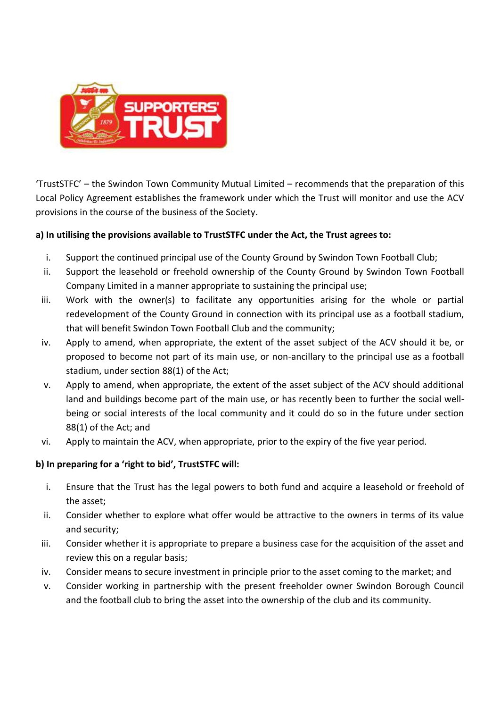

'TrustSTFC' – the Swindon Town Community Mutual Limited – recommends that the preparation of this Local Policy Agreement establishes the framework under which the Trust will monitor and use the ACV provisions in the course of the business of the Society.

# **a) In utilising the provisions available to TrustSTFC under the Act, the Trust agrees to:**

- i. Support the continued principal use of the County Ground by Swindon Town Football Club;
- ii. Support the leasehold or freehold ownership of the County Ground by Swindon Town Football Company Limited in a manner appropriate to sustaining the principal use;
- iii. Work with the owner(s) to facilitate any opportunities arising for the whole or partial redevelopment of the County Ground in connection with its principal use as a football stadium, that will benefit Swindon Town Football Club and the community;
- iv. Apply to amend, when appropriate, the extent of the asset subject of the ACV should it be, or proposed to become not part of its main use, or non-ancillary to the principal use as a football stadium, under section 88(1) of the Act;
- v. Apply to amend, when appropriate, the extent of the asset subject of the ACV should additional land and buildings become part of the main use, or has recently been to further the social wellbeing or social interests of the local community and it could do so in the future under section 88(1) of the Act; and
- vi. Apply to maintain the ACV, when appropriate, prior to the expiry of the five year period.

# **b) In preparing for a 'right to bid', TrustSTFC will:**

- i. Ensure that the Trust has the legal powers to both fund and acquire a leasehold or freehold of the asset;
- ii. Consider whether to explore what offer would be attractive to the owners in terms of its value and security;
- iii. Consider whether it is appropriate to prepare a business case for the acquisition of the asset and review this on a regular basis;
- iv. Consider means to secure investment in principle prior to the asset coming to the market; and
- v. Consider working in partnership with the present freeholder owner Swindon Borough Council and the football club to bring the asset into the ownership of the club and its community.